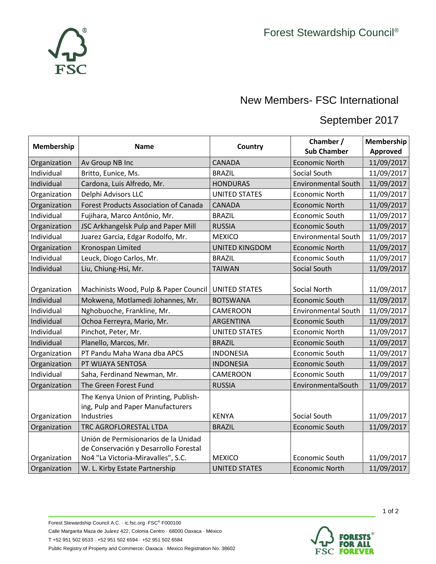

## September 2017

| Membership   | <b>Name</b>                                                                                                         | Country               | Chamber /<br><b>Sub Chamber</b> | Membership<br><b>Approved</b> |
|--------------|---------------------------------------------------------------------------------------------------------------------|-----------------------|---------------------------------|-------------------------------|
| Organization | Av Group NB Inc                                                                                                     | <b>CANADA</b>         | <b>Economic North</b>           | 11/09/2017                    |
| Individual   | Britto, Eunice, Ms.                                                                                                 | <b>BRAZIL</b>         | Social South                    | 11/09/2017                    |
| Individual   | Cardona, Luis Alfredo, Mr.                                                                                          | <b>HONDURAS</b>       | <b>Environmental South</b>      | 11/09/2017                    |
| Organization | Delphi Advisors LLC                                                                                                 | <b>UNITED STATES</b>  | <b>Economic North</b>           | 11/09/2017                    |
| Organization | <b>Forest Products Association of Canada</b>                                                                        | <b>CANADA</b>         | <b>Economic North</b>           | 11/09/2017                    |
| Individual   | Fujihara, Marco Antônio, Mr.                                                                                        | <b>BRAZIL</b>         | Economic South                  | 11/09/2017                    |
| Organization | JSC Arkhangelsk Pulp and Paper Mill                                                                                 | <b>RUSSIA</b>         | Economic South                  | 11/09/2017                    |
| Individual   | Juarez Garcia, Edgar Rodolfo, Mr.                                                                                   | <b>MEXICO</b>         | <b>Environmental South</b>      | 11/09/2017                    |
| Organization | Kronospan Limited                                                                                                   | <b>UNITED KINGDOM</b> | <b>Economic North</b>           | 11/09/2017                    |
| Individual   | Leuck, Diogo Carlos, Mr.                                                                                            | <b>BRAZIL</b>         | Economic South                  | 11/09/2017                    |
| Individual   | Liu, Chiung-Hsi, Mr.                                                                                                | <b>TAIWAN</b>         | Social South                    | 11/09/2017                    |
| Organization | Machinists Wood, Pulp & Paper Council                                                                               | <b>UNITED STATES</b>  | Social North                    | 11/09/2017                    |
| Individual   | Mokwena, Motlamedi Johannes, Mr.                                                                                    | <b>BOTSWANA</b>       | Economic South                  | 11/09/2017                    |
| Individual   | Nghobuoche, Frankline, Mr.                                                                                          | CAMEROON              | <b>Environmental South</b>      | 11/09/2017                    |
| Individual   | Ochoa Ferreyra, Mario, Mr.                                                                                          | ARGENTINA             | <b>Economic South</b>           | 11/09/2017                    |
| Individual   | Pinchot, Peter, Mr.                                                                                                 | <b>UNITED STATES</b>  | <b>Economic North</b>           | 11/09/2017                    |
| Individual   | Planello, Marcos, Mr.                                                                                               | <b>BRAZIL</b>         | <b>Economic South</b>           | 11/09/2017                    |
| Organization | PT Pandu Maha Wana dba APCS                                                                                         | <b>INDONESIA</b>      | Economic South                  | 11/09/2017                    |
| Organization | PT WIJAYA SENTOSA                                                                                                   | <b>INDONESIA</b>      | Economic South                  | 11/09/2017                    |
| Individual   | Saha, Ferdinand Newman, Mr.                                                                                         | CAMEROON              | Economic South                  | 11/09/2017                    |
| Organization | The Green Forest Fund                                                                                               | <b>RUSSIA</b>         | EnvironmentalSouth              | 11/09/2017                    |
| Organization | The Kenya Union of Printing, Publish-<br>ing, Pulp and Paper Manufacturers<br>Industries                            | <b>KENYA</b>          | Social South                    | 11/09/2017                    |
| Organization | TRC AGROFLORESTAL LTDA                                                                                              | <b>BRAZIL</b>         | Economic South                  | 11/09/2017                    |
| Organization | Unión de Permisionarios de la Unidad<br>de Conservación y Desarrollo Forestal<br>No4 "La Victoria-Miravalles", S.C. | <b>MEXICO</b>         | Economic South                  | 11/09/2017                    |
| Organization | W. L. Kirby Estate Partnership                                                                                      | <b>UNITED STATES</b>  | <b>Economic North</b>           | 11/09/2017                    |